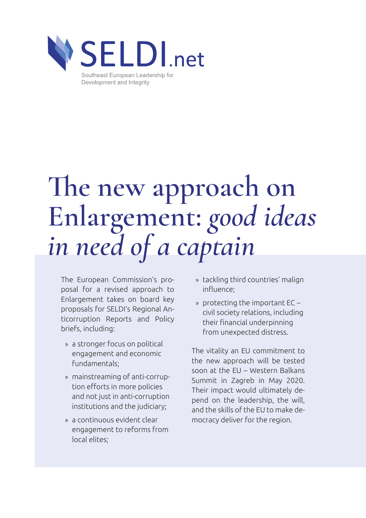

# **The new approach on Enlargement:** *good ideas in need of a captain*

The European Commission's proposal for a revised approach to Enlargement takes on board key proposals for SELDI's Regional Anticorruption Reports and Policy briefs, including:

- » a stronger focus on political engagement and economic fundamentals;
- » mainstreaming of anti-corruption efforts in more policies and not just in anti-corruption institutions and the judiciary;
- » a continuous evident clear engagement to reforms from local elites;
- » tackling third countries' malign influence;
- » protecting the important EC civil society relations, including their financial underpinning from unexpected distress.

The vitality an EU commitment to the new approach will be tested soon at the EU – Western Balkans Summit in Zagreb in May 2020. Their impact would ultimately depend on the leadership, the will, and the skills of the EU to make democracy deliver for the region.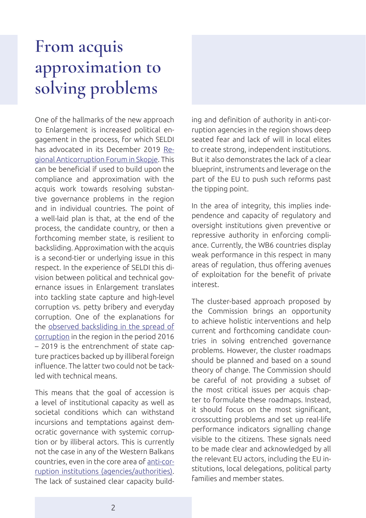### **From acquis approximation to solving problems**

One of the hallmarks of the new approach to Enlargement is increased political engagement in the process, for which SELDI has advocated in its December 2019 [Re](https://seldi.net/events-and-news/seldi-events-and-news/policy-forum-delivering-on-the-promise-of-eu-enlargement-30-years-of-governance-and-anticorruption-reforms-in-central-and-eastern-europe/)[gional Anticorruption Forum in Skopje.](https://seldi.net/events-and-news/seldi-events-and-news/policy-forum-delivering-on-the-promise-of-eu-enlargement-30-years-of-governance-and-anticorruption-reforms-in-central-and-eastern-europe/) This can be beneficial if used to build upon the compliance and approximation with the acquis work towards resolving substantive governance problems in the region and in individual countries. The point of a well-laid plan is that, at the end of the process, the candidate country, or then a forthcoming member state, is resilient to backsliding. Approximation with the acquis is a second-tier or underlying issue in this respect. In the experience of SELDI this division between political and technical governance issues in Enlargement translates into tackling state capture and high-level corruption vs. petty bribery and everyday corruption. One of the explanations for the [observed backsliding in the spread of](https://seldi.net/fileadmin/public/PDF/Publications/Policy_Brief_9/SELDI_PB_09_Corruption_in_the_Western_Balkans_2019.pdf) [corruption](https://seldi.net/fileadmin/public/PDF/Publications/Policy_Brief_9/SELDI_PB_09_Corruption_in_the_Western_Balkans_2019.pdf) in the region in the period 2016 – 2019 is the entrenchment of state capture practices backed up by illiberal foreign influence. The latter two could not be tackled with technical means.

This means that the goal of accession is a level of institutional capacity as well as societal conditions which can withstand incursions and temptations against democratic governance with systemic corruption or by illiberal actors. This is currently not the case in any of the Western Balkans countries, even in the core area of [anti-cor](https://seldi.net/publications/policy-briefs/seldi-policy-brief-8-anti-corruption-agencies-in-the-western-balkan-countries-delivering-on-the-promise/)[ruption institutions \(agencies/authorities\).](https://seldi.net/publications/policy-briefs/seldi-policy-brief-8-anti-corruption-agencies-in-the-western-balkan-countries-delivering-on-the-promise/) The lack of sustained clear capacity building and definition of authority in anti-corruption agencies in the region shows deep seated fear and lack of will in local elites to create strong, independent institutions. But it also demonstrates the lack of a clear blueprint, instruments and leverage on the part of the EU to push such reforms past the tipping point.

In the area of integrity, this implies independence and capacity of regulatory and oversight institutions given preventive or repressive authority in enforcing compliance. Currently, the WB6 countries display weak performance in this respect in many areas of regulation, thus offering avenues of exploitation for the benefit of private interest.

The cluster-based approach proposed by the Commission brings an opportunity to achieve holistic interventions and help current and forthcoming candidate countries in solving entrenched governance problems. However, the cluster roadmaps should be planned and based on a sound theory of change. The Commission should be careful of not providing a subset of the most critical issues per acquis chapter to formulate these roadmaps. Instead, it should focus on the most significant, crosscutting problems and set up real-life performance indicators signalling change visible to the citizens. These signals need to be made clear and acknowledged by all the relevant EU actors, including the EU institutions, local delegations, political party families and member states.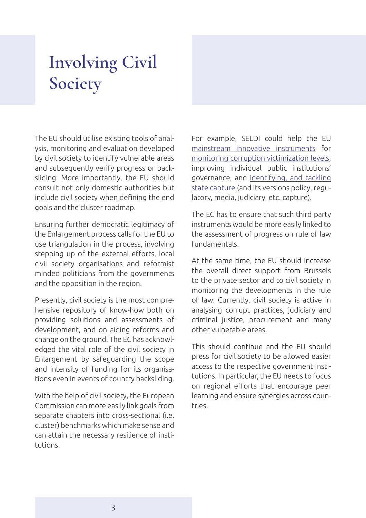## **Involving Civil Society**

The EU should utilise existing tools of analysis, monitoring and evaluation developed by civil society to identify vulnerable areas and subsequently verify progress or backsliding. More importantly, the EU should consult not only domestic authorities but include civil society when defining the end goals and the cluster roadmap.

Ensuring further democratic legitimacy of the Enlargement process calls for the EU to use triangulation in the process, involving stepping up of the external efforts, local civil society organisations and reformist minded politicians from the governments and the opposition in the region.

Presently, civil society is the most comprehensive repository of know-how both on providing solutions and assessments of development, and on aiding reforms and change on the ground. The EC has acknowledged the vital role of the civil society in Enlargement by safeguarding the scope and intensity of funding for its organisations even in events of country backsliding.

With the help of civil society, the European Commission can more easily link goals from separate chapters into cross-sectional (i.e. cluster) benchmarks which make sense and can attain the necessary resilience of institutions.

For example, SELDI could help the EU [mainstream innovative instruments](https://seldi.net/publications/publications/sustainable-policy-impact-through-state-of-the-art-research-and-advocacy/) for [monitoring corruption victimization levels,](https://seldi.net/cms-data/cms-methodology/) improving individual public institutions' governance, and [identifying, and tackling](https://csd.bg/fileadmin/user_upload/publications_library/files/2016/Working_Paper__State_Capture_Diagnostics_Roadmap.pdf)  [state capture](https://csd.bg/fileadmin/user_upload/publications_library/files/2016/Working_Paper__State_Capture_Diagnostics_Roadmap.pdf) (and its versions policy, regulatory, media, judiciary, etc. capture).

The EC has to ensure that such third party instruments would be more easily linked to the assessment of progress on rule of law fundamentals.

At the same time, the EU should increase the overall direct support from Brussels to the private sector and to civil society in monitoring the developments in the rule of law. Currently, civil society is active in analysing corrupt practices, judiciary and criminal justice, procurement and many other vulnerable areas.

This should continue and the EU should press for civil society to be allowed easier access to the respective government institutions. In particular, the EU needs to focus on regional efforts that encourage peer learning and ensure synergies across countries.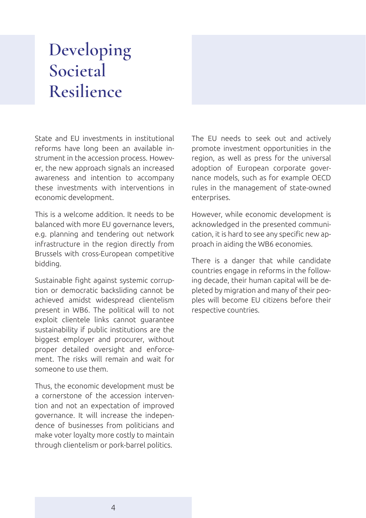### **Developing Societal Resilience**

State and EU investments in institutional reforms have long been an available instrument in the accession process. However, the new approach signals an increased awareness and intention to accompany these investments with interventions in economic development.

This is a welcome addition. It needs to be balanced with more EU governance levers, e.g. planning and tendering out network infrastructure in the region directly from Brussels with cross-European competitive bidding.

Sustainable fight against systemic corruption or democratic backsliding cannot be achieved amidst widespread clientelism present in WB6. The political will to not exploit clientele links cannot guarantee sustainability if public institutions are the biggest employer and procurer, without proper detailed oversight and enforcement. The risks will remain and wait for someone to use them.

Thus, the economic development must be a cornerstone of the accession intervention and not an expectation of improved governance. It will increase the independence of businesses from politicians and make voter loyalty more costly to maintain through clientelism or pork-barrel politics.

The EU needs to seek out and actively promote investment opportunities in the region, as well as press for the universal adoption of European corporate governance models, such as for example OECD rules in the management of state-owned enterprises.

However, while economic development is acknowledged in the presented communication, it is hard to see any specific new approach in aiding the WB6 economies.

There is a danger that while candidate countries engage in reforms in the following decade, their human capital will be depleted by migration and many of their peoples will become EU citizens before their respective countries.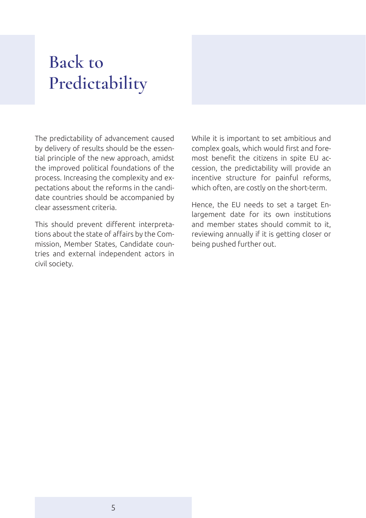### **Back to Predictability**

The predictability of advancement caused by delivery of results should be the essential principle of the new approach, amidst the improved political foundations of the process. Increasing the complexity and expectations about the reforms in the candidate countries should be accompanied by clear assessment criteria.

This should prevent different interpretations about the state of affairs by the Commission, Member States, Candidate countries and external independent actors in civil society.

While it is important to set ambitious and complex goals, which would first and foremost benefit the citizens in spite EU accession, the predictability will provide an incentive structure for painful reforms, which often, are costly on the short-term.

Hence, the EU needs to set a target Enlargement date for its own institutions and member states should commit to it, reviewing annually if it is getting closer or being pushed further out.